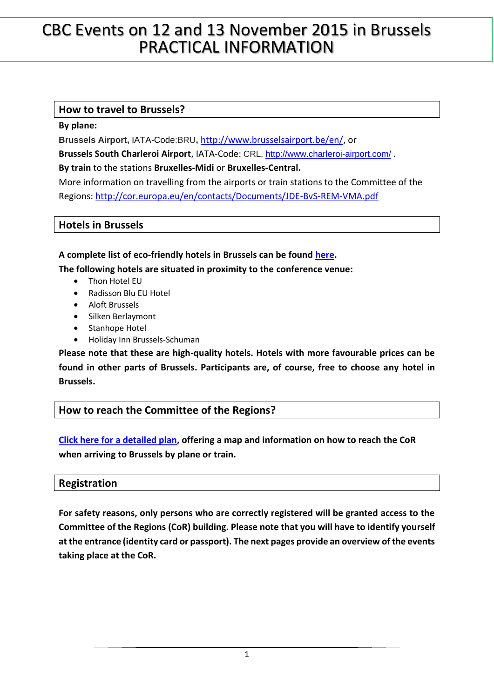# CBC Events on 12 and 13 November 2015 in Brussels PRACTICAL INFORMATION

# **How to travel to Brussels?**

**By plane:** 

**Brussels Airport,** IATA-Code:BRU**,** [http://www.brusselsairport.be/en/,](http://www.brusselsairport.be/en/) or

**Brussels South Charleroi Airport**, IATA-Code: CRL,<http://www.charleroi-airport.com/> .

**By train** to the stations **Bruxelles-Midi** or **Bruxelles-Central.**

More information on travelling from the airports or train stations to the Committee of the Regions:<http://cor.europa.eu/en/contacts/Documents/JDE-BvS-REM-VMA.pdf>

## **Hotels in Brussels**

## **A complete list of eco-friendly hotels in Brussels can be found [here.](http://visitbrussels.be/bitc/BE_en/meeting/eco-friendly-hotels.do)**

**The following hotels are situated in proximity to the conference venue:**

- Thon Hotel EU
- Radisson Blu EU Hotel
- Aloft Brussels
- Silken Berlaymont
- Stanhope Hotel
- Holiday Inn Brussels-Schuman

**Please note that these are high-quality hotels. Hotels with more favourable prices can be found in other parts of Brussels. Participants are, of course, free to choose any hotel in Brussels.**

# **How to reach the Committee of the Regions?**

**[Click here for a detailed plan,](http://cor.europa.eu/en/contacts/Documents/JDE-BvS-REM-VMA.pdf) offering a map and information on how to reach the CoR when arriving to Brussels by plane or train.**

# **Registration**

**For safety reasons, only persons who are correctly registered will be granted access to the Committee of the Regions (CoR) building. Please note that you will have to identify yourself at the entrance (identity card or passport). The next pages provide an overview of the events taking place at the CoR.**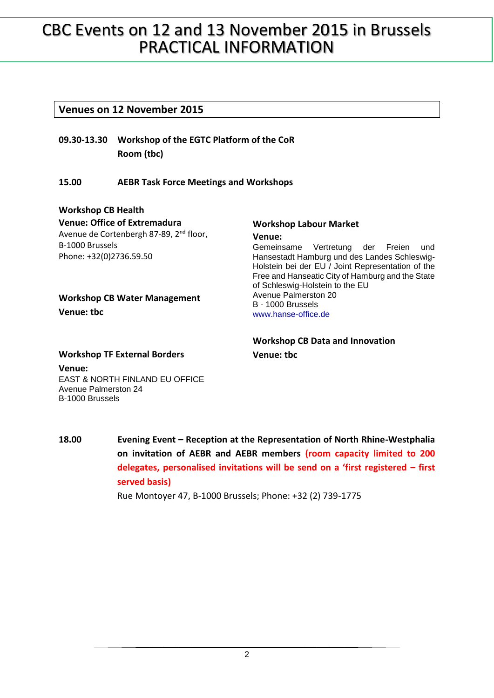# CBC Events on 12 and 13 November 2015 in Brussels PRACTICAL INFORMATION

### **Venues on 12 November 2015**

**09.30-13.30 Workshop of the EGTC Platform of the CoR Room (tbc)**

### **15.00 AEBR Task Force Meetings and Workshops**

#### **Workshop CB Health**

**Venue: tbc**

**Venue: Office of Extremadura** Avenue de Cortenbergh 87-89, 2<sup>nd</sup> floor, B-1000 Brussels Phone: +32(0)2736.59.50

**Workshop CB Water Management**

#### **Workshop Labour Market Venue:**

Gemeinsame Vertretung der Freien und Hansestadt Hamburg und des Landes Schleswig-Holstein bei der EU / Joint Representation of the Free and Hanseatic City of Hamburg and the State of Schleswig-Holstein to the EU Avenue Palmerston 20 B - 1000 Brussels [www.hanse-office.de](http://www.hanse-office.de/)

## **Workshop CB Data and Innovation Venue: tbc**

#### **Workshop TF External Borders**

**Venue:** EAST & NORTH FINLAND EU OFFICE Avenue Palmerston 24 B-1000 Brussels

**18.00 Evening Event – Reception at the Representation of North Rhine-Westphalia on invitation of AEBR and AEBR members (room capacity limited to 200 delegates, personalised invitations will be send on a 'first registered – first served basis)**

Rue Montoyer 47, B-1000 Brussels; Phone: +32 (2) 739-1775